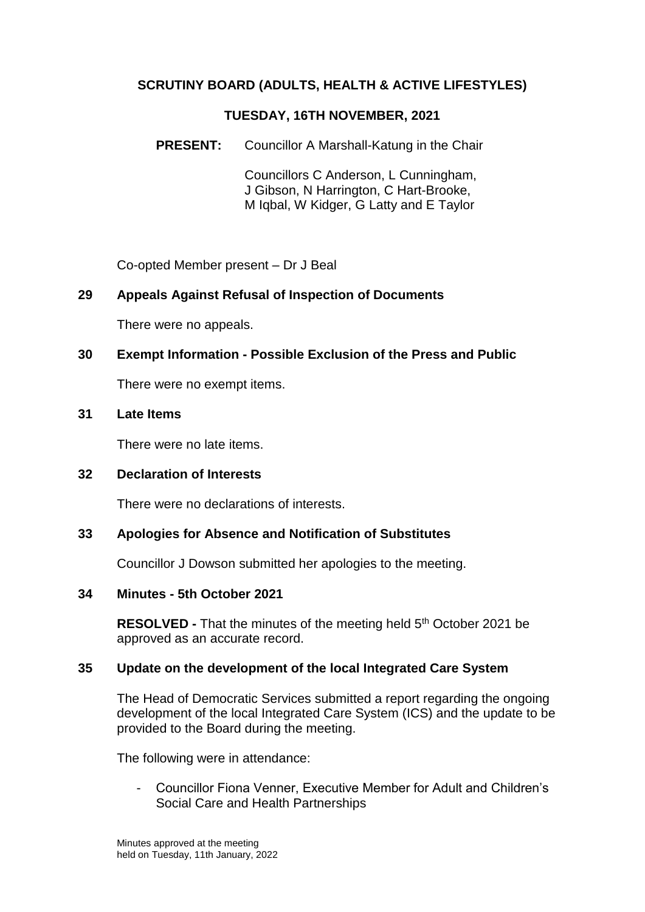# **SCRUTINY BOARD (ADULTS, HEALTH & ACTIVE LIFESTYLES)**

### **TUESDAY, 16TH NOVEMBER, 2021**

**PRESENT:** Councillor A Marshall-Katung in the Chair

Councillors C Anderson, L Cunningham, J Gibson, N Harrington, C Hart-Brooke, M Iqbal, W Kidger, G Latty and E Taylor

Co-opted Member present – Dr J Beal

### **29 Appeals Against Refusal of Inspection of Documents**

There were no appeals.

### **30 Exempt Information - Possible Exclusion of the Press and Public**

There were no exempt items.

### **31 Late Items**

There were no late items.

### **32 Declaration of Interests**

There were no declarations of interests.

### **33 Apologies for Absence and Notification of Substitutes**

Councillor J Dowson submitted her apologies to the meeting.

#### **34 Minutes - 5th October 2021**

**RESOLVED** - That the minutes of the meeting held 5<sup>th</sup> October 2021 be approved as an accurate record.

### **35 Update on the development of the local Integrated Care System**

The Head of Democratic Services submitted a report regarding the ongoing development of the local Integrated Care System (ICS) and the update to be provided to the Board during the meeting.

The following were in attendance:

- Councillor Fiona Venner, Executive Member for Adult and Children's Social Care and Health Partnerships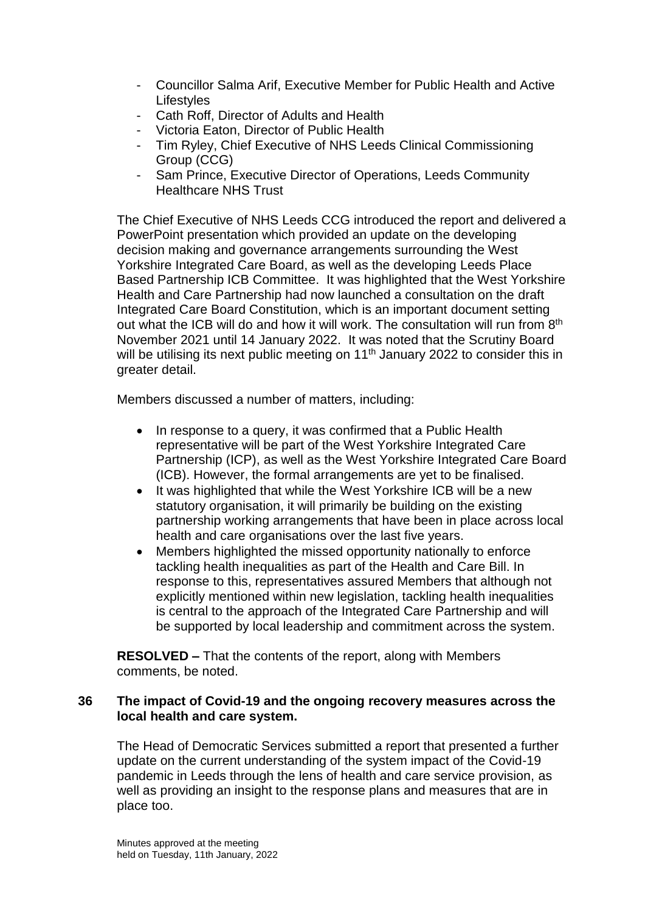- Councillor Salma Arif, Executive Member for Public Health and Active **Lifestyles**
- Cath Roff, Director of Adults and Health
- Victoria Eaton, Director of Public Health
- Tim Ryley, Chief Executive of NHS Leeds Clinical Commissioning Group (CCG)
- Sam Prince, Executive Director of Operations, Leeds Community Healthcare NHS Trust

The Chief Executive of NHS Leeds CCG introduced the report and delivered a PowerPoint presentation which provided an update on the developing decision making and governance arrangements surrounding the West Yorkshire Integrated Care Board, as well as the developing Leeds Place Based Partnership ICB Committee. It was highlighted that the West Yorkshire Health and Care Partnership had now launched a consultation on the draft Integrated Care Board Constitution, which is an important document setting out what the ICB will do and how it will work. The consultation will run from 8<sup>th</sup> November 2021 until 14 January 2022. It was noted that the Scrutiny Board will be utilising its next public meeting on 11<sup>th</sup> January 2022 to consider this in greater detail.

Members discussed a number of matters, including:

- In response to a query, it was confirmed that a Public Health representative will be part of the West Yorkshire Integrated Care Partnership (ICP), as well as the West Yorkshire Integrated Care Board (ICB). However, the formal arrangements are yet to be finalised.
- It was highlighted that while the West Yorkshire ICB will be a new statutory organisation, it will primarily be building on the existing partnership working arrangements that have been in place across local health and care organisations over the last five years.
- Members highlighted the missed opportunity nationally to enforce tackling health inequalities as part of the Health and Care Bill. In response to this, representatives assured Members that although not explicitly mentioned within new legislation, tackling health inequalities is central to the approach of the Integrated Care Partnership and will be supported by local leadership and commitment across the system.

**RESOLVED –** That the contents of the report, along with Members comments, be noted.

### **36 The impact of Covid-19 and the ongoing recovery measures across the local health and care system.**

The Head of Democratic Services submitted a report that presented a further update on the current understanding of the system impact of the Covid-19 pandemic in Leeds through the lens of health and care service provision, as well as providing an insight to the response plans and measures that are in place too.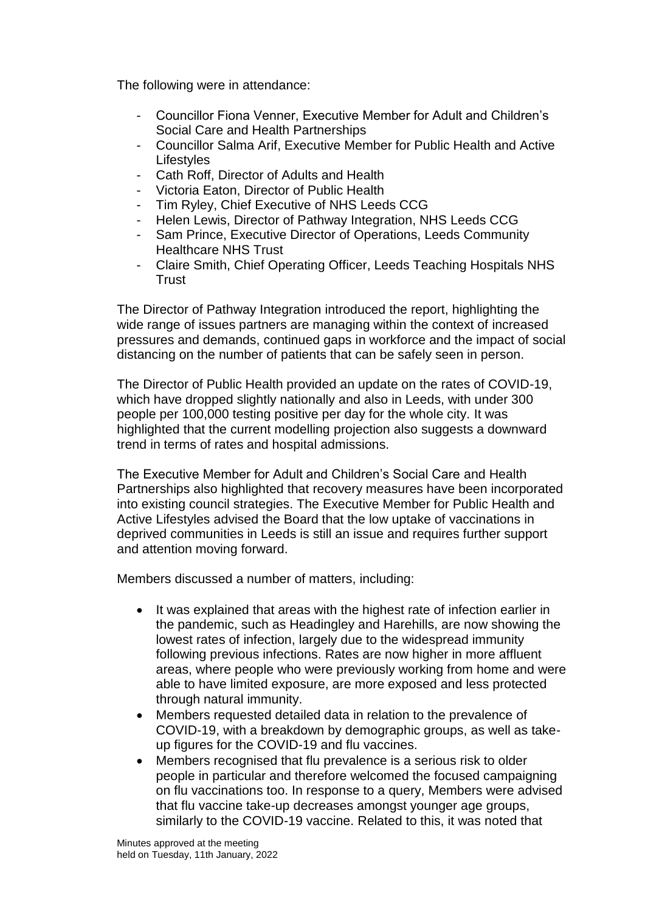The following were in attendance:

- Councillor Fiona Venner, Executive Member for Adult and Children's Social Care and Health Partnerships
- Councillor Salma Arif, Executive Member for Public Health and Active **Lifestyles**
- Cath Roff, Director of Adults and Health
- Victoria Eaton, Director of Public Health
- Tim Ryley, Chief Executive of NHS Leeds CCG
- Helen Lewis, Director of Pathway Integration, NHS Leeds CCG
- Sam Prince, Executive Director of Operations, Leeds Community Healthcare NHS Trust
- Claire Smith, Chief Operating Officer, Leeds Teaching Hospitals NHS **Trust**

The Director of Pathway Integration introduced the report, highlighting the wide range of issues partners are managing within the context of increased pressures and demands, continued gaps in workforce and the impact of social distancing on the number of patients that can be safely seen in person.

The Director of Public Health provided an update on the rates of COVID-19, which have dropped slightly nationally and also in Leeds, with under 300 people per 100,000 testing positive per day for the whole city. It was highlighted that the current modelling projection also suggests a downward trend in terms of rates and hospital admissions.

The Executive Member for Adult and Children's Social Care and Health Partnerships also highlighted that recovery measures have been incorporated into existing council strategies. The Executive Member for Public Health and Active Lifestyles advised the Board that the low uptake of vaccinations in deprived communities in Leeds is still an issue and requires further support and attention moving forward.

Members discussed a number of matters, including:

- It was explained that areas with the highest rate of infection earlier in the pandemic, such as Headingley and Harehills, are now showing the lowest rates of infection, largely due to the widespread immunity following previous infections. Rates are now higher in more affluent areas, where people who were previously working from home and were able to have limited exposure, are more exposed and less protected through natural immunity.
- Members requested detailed data in relation to the prevalence of COVID-19, with a breakdown by demographic groups, as well as takeup figures for the COVID-19 and flu vaccines.
- Members recognised that flu prevalence is a serious risk to older people in particular and therefore welcomed the focused campaigning on flu vaccinations too. In response to a query, Members were advised that flu vaccine take-up decreases amongst younger age groups, similarly to the COVID-19 vaccine. Related to this, it was noted that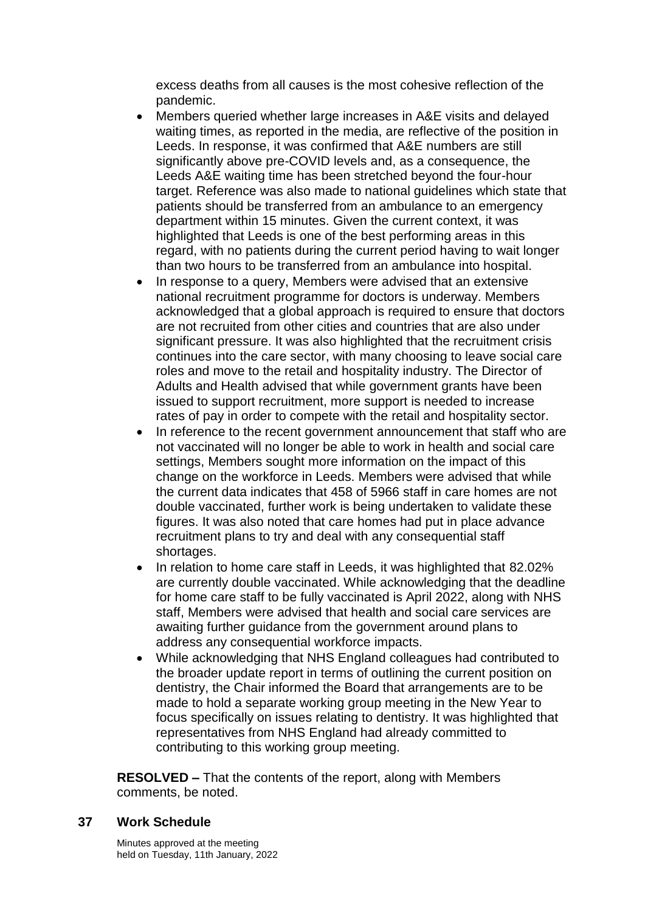excess deaths from all causes is the most cohesive reflection of the pandemic.

- Members queried whether large increases in A&E visits and delayed waiting times, as reported in the media, are reflective of the position in Leeds. In response, it was confirmed that A&E numbers are still significantly above pre-COVID levels and, as a consequence, the Leeds A&E waiting time has been stretched beyond the four-hour target. Reference was also made to national guidelines which state that patients should be transferred from an ambulance to an emergency department within 15 minutes. Given the current context, it was highlighted that Leeds is one of the best performing areas in this regard, with no patients during the current period having to wait longer than two hours to be transferred from an ambulance into hospital.
- In response to a query, Members were advised that an extensive national recruitment programme for doctors is underway. Members acknowledged that a global approach is required to ensure that doctors are not recruited from other cities and countries that are also under significant pressure. It was also highlighted that the recruitment crisis continues into the care sector, with many choosing to leave social care roles and move to the retail and hospitality industry. The Director of Adults and Health advised that while government grants have been issued to support recruitment, more support is needed to increase rates of pay in order to compete with the retail and hospitality sector.
- In reference to the recent government announcement that staff who are not vaccinated will no longer be able to work in health and social care settings, Members sought more information on the impact of this change on the workforce in Leeds. Members were advised that while the current data indicates that 458 of 5966 staff in care homes are not double vaccinated, further work is being undertaken to validate these figures. It was also noted that care homes had put in place advance recruitment plans to try and deal with any consequential staff shortages.
- In relation to home care staff in Leeds, it was highlighted that 82.02% are currently double vaccinated. While acknowledging that the deadline for home care staff to be fully vaccinated is April 2022, along with NHS staff, Members were advised that health and social care services are awaiting further guidance from the government around plans to address any consequential workforce impacts.
- While acknowledging that NHS England colleagues had contributed to the broader update report in terms of outlining the current position on dentistry, the Chair informed the Board that arrangements are to be made to hold a separate working group meeting in the New Year to focus specifically on issues relating to dentistry. It was highlighted that representatives from NHS England had already committed to contributing to this working group meeting.

**RESOLVED –** That the contents of the report, along with Members comments, be noted.

#### **37 Work Schedule**

Minutes approved at the meeting held on Tuesday, 11th January, 2022